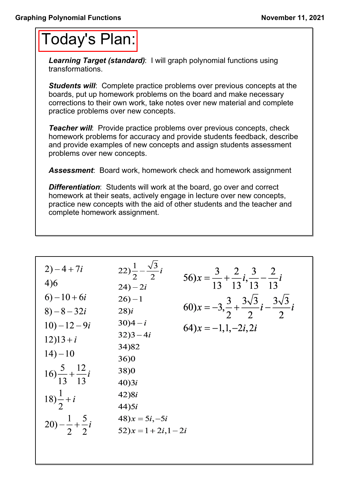## Today's Plan:

*Learning Target (standard)*: I will graph polynomial functions using transformations.

**Students will:** Complete practice problems over previous concepts at the boards, put up homework problems on the board and make necessary corrections to their own work, take notes over new material and complete practice problems over new concepts.

*Teacher will:* Provide practice problems over previous concepts, check homework problems for accuracy and provide students feedback, describe and provide examples of new concepts and assign students assessment problems over new concepts.

*Assessment*: Board work, homework check and homework assignment

*Differentiation*: Students will work at the board, go over and correct homework at their seats, actively engage in lecture over new concepts, practice new concepts with the aid of other students and the teacher and complete homework assignment.

2) -4 + 7*i* 22) 
$$
\frac{1}{2} - \frac{\sqrt{3}}{2}i
$$
 56)  $x = \frac{3}{13} + \frac{2}{13}i, \frac{3}{13} - \frac{2}{13}i$   
\n4)6 24) - 2*i* 56)  $x = \frac{3}{13} + \frac{2}{13}i, \frac{3}{13} - \frac{2}{13}i$   
\n6) -10 + 6*i* 26) -1 60)  $x = -3, \frac{3}{2} + \frac{3\sqrt{3}}{2}i - \frac{3\sqrt{3}}{2}i$   
\n8) -8 - 32*i* 28)*i* 60)  $x = -3, \frac{3}{2} + \frac{3\sqrt{3}}{2}i - \frac{3\sqrt{3}}{2}i$   
\n10) -12 - 9*i* 30)4 - *i* 64)  $x = -1, 1, -2i, 2i$   
\n12)13 + *i* 32)3 - 4*i* 64)  $x = -1, 1, -2i, 2i$   
\n14) -10 34)82  
\n16)  $\frac{5}{13} + \frac{12}{13}i$  38)0  
\n16)  $\frac{5}{13} + \frac{12}{13}i$  42)8*i*  
\n18)  $\frac{1}{2} + i$  42)8*i*  
\n20) -  $\frac{1}{2} + \frac{5}{2}i$  48)  $x = 5i, -5i$   
\n20) -  $\frac{1}{2} + \frac{5}{2}i$  52)  $x = 1 + 2i, 1 - 2i$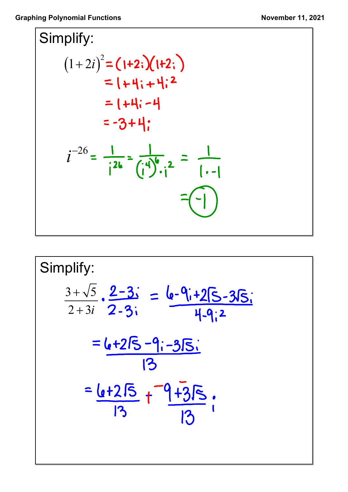

Simplify:  
\n
$$
\frac{3+\sqrt{5}}{2+3i} \cdot \frac{2-3i}{2-3i} = \frac{6-9i+25-35i}{4-9i^2}
$$
\n
$$
= \frac{6+25-9i-35i}{13}
$$
\n
$$
= \frac{6+25}{13} + \frac{-9+35}{13} = \frac{1}{13}
$$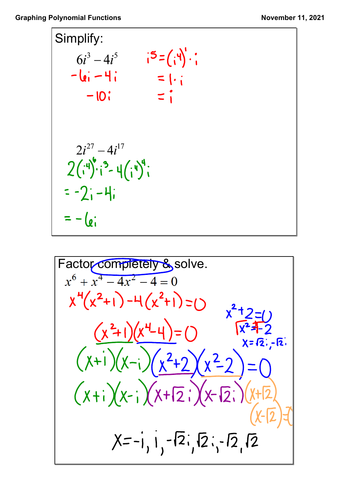

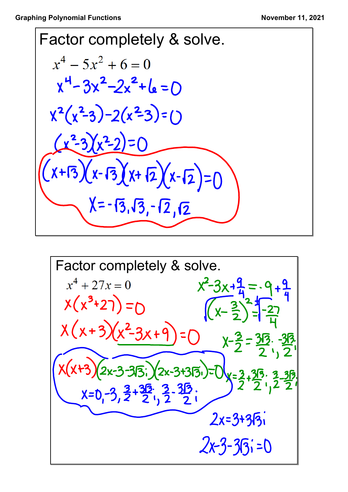Factor completely & solve.  $x^4 - 5x^2 + 6 = 0$  $x^4 - 3x^2 - 2x^2 + 6 = 0$  $x^2(x^2-3)-2(x^2-3)=0$  $(x^2-3)(x^2-2)=0$  $(x+13)(x-13)(x+12)(x-12)=0$  $X = -13, \sqrt{3}, -12, \sqrt{2}$ 

Factor completely & solve.  
\n
$$
x^4 + 27x = 0
$$
  $x^2-3x+9=0$   
\n $x(x^3+27) = 0$   $(x-\frac{3}{2})^{-2}+\frac{9}{4}$   
\n $x(x+3)(x^2-3x+9) = 0$   $x-\frac{3}{2}=\frac{315}{2}, -\frac{315}{2}$   
\n $x(x+3)(2x-3-315)/(2x-3+315)=0$   $x=\frac{3}{2}+\frac{315}{2}, \frac{3}{2}+\frac{315}{2}$   
\n $x=0,-3,\frac{3}{2}+\frac{315}{2}, \frac{3}{2}-\frac{315}{2}$   
\n $2x=3+315$   
\n $2x-3+315=0$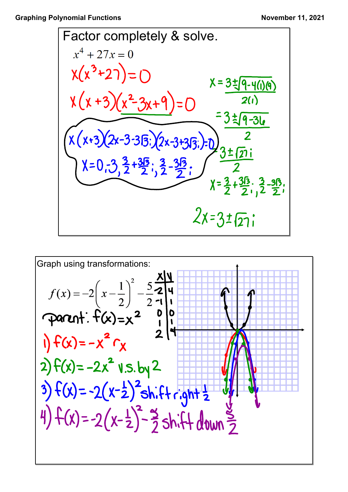Factor completely & solve.  
\n
$$
x^4 + 27x = 0
$$
  
\n $\chi(x^3+27) = 0$   
\n $\chi(x+3)(x^2-3x+9) = 0$   
\n $\chi(\chi+3)(x^2-3x+9) = 0$   
\n $\chi(\chi+3)(2x-3-315)(2x-3+315)=0$   
\n $\chi = 0.3, \frac{3}{2}+3\frac{15}{2}, \frac{3}{2}-3\frac{15}{2};$   
\n $\chi = 0.3, \frac{3}{2}+3\frac{15}{2}, \frac{3}{2}-\frac{315}{2};$   
\n $\chi = \frac{3}{2}+3\frac{15}{2}, \frac{3}{2}-\frac{315}{2};$   
\n $\chi = \frac{3}{2}+3\frac{15}{2}, \frac{3}{2}-\frac{315}{2};$   
\n $\chi = 3\pm \sqrt{27};$ 

Graph using transformations:  
\n
$$
f(x) = -2\left(x - \frac{1}{2}\right)^2 - \frac{5}{2}\frac{x}{4} = 0
$$
\n
$$
\Rightarrow f(x) = -x^2 - x
$$
\n
$$
f(x) = -2x^2 - x
$$
\n
$$
2x^2 - x + x = 0
$$
\n
$$
f(x) = -2x^2 - x
$$
\n
$$
2x^2 - x + x = 0
$$
\n
$$
f(x) = -2x^2 - x - x = 0
$$
\n
$$
f(x) = -2(x - \frac{1}{2})^2 - x - x = 0
$$
\n
$$
f(x) = -2(x - \frac{1}{2})^2 - x - x = 0
$$
\n
$$
f(x) = -2(x - \frac{1}{2})^2 - x - x = 0
$$
\n
$$
f(x) = -2(x - \frac{1}{2})^2 - x - x = 0
$$
\n
$$
f(x) = -2(x - \frac{1}{2})^2 - x - x = 0
$$
\n
$$
f(x) = -2(x - \frac{1}{2})^2 - x - x = 0
$$
\n
$$
f(x) = -2(x - \frac{1}{2})^2 - x - x = 0
$$
\n
$$
f(x) = -2(x - \frac{1}{2})^2 - x - x = 0
$$
\n
$$
f(x) = -2(x - \frac{1}{2})^2 - x - x = 0
$$
\n
$$
f(x) = -2(x - \frac{1}{2})^2 - x - x = 0
$$
\n
$$
f(x) = -2(x - \frac{1}{2})^2 - x - x = 0
$$
\n
$$
f(x) = -2(x - \frac{1}{2})^2 - x - x = 0
$$
\n
$$
f(x) = -2(x - \frac{1}{2})^2 - x - x = 0
$$
\n
$$
f(x) = -2(x - \frac{1}{2})^2 - x - x = 0
$$
\n
$$
f(x) = -2(x - \frac{1}{2})^2 - x - x = 0
$$
\n
$$
f(x) = -2(x - \frac{1}{2})^2 - x - x = 0
$$
\n
$$
f(x) = -2(x - \frac{1}{2})^2 - x - x = 0
$$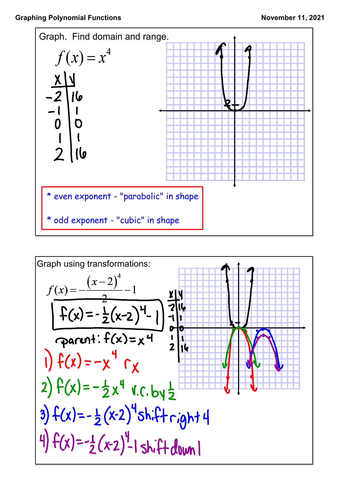

Graph using transformations:  
\n
$$
f(x) = -\frac{(x-2)^4}{2} - 1
$$
\n
$$
f(x) = -\frac{1}{2}(x-2)^4 - 1
$$
\n
$$
f(x) = -\frac{1}{2}(x-2)^4 - 1
$$
\n
$$
f(x) = -x^4 - x
$$
\n
$$
2) f(x) = -\frac{1}{2}x^4 - x
$$
\n
$$
3) f(x) = -\frac{1}{2}(x-2)^4 \sinh 4
$$
\n
$$
4) f(x) = -\frac{1}{2}(x-2)^4 - 1 \sinh 4
$$
\n
$$
4) f(x) = -\frac{1}{2}(x-2)^4 - 1 \sinh 4
$$